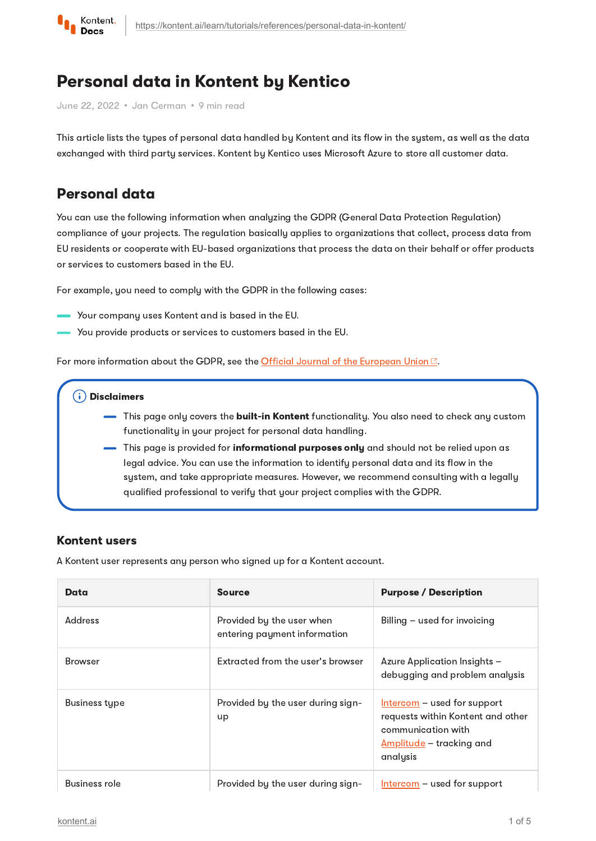

# Personal data in Kontent by Kentico

June 22, 2022 · Jan Cerman · 9 min read

This article lists the types of personal data handled by Kontent and its flow in the system, as well as the data exchanged with third party services. Kontent by Kentico uses Microsoft Azure to store all customer data.

# Personal data

You can use the following information when analyzing the GDPR (General Data Protection Regulation) compliance of your projects. The regulation basically applies to organizations that collect, process data from EU residents or cooperate with EU-based organizations that process the data on their behalf or offer products or services to customers based in the EU.

For example, you need to comply with the GDPR in the following cases:

- Your company uses Kontent and is based in the EU.
- You provide products or services to customers based in the EU.

For more information about the GDPR, see the Official Journal of the [European](http://eur-lex.europa.eu/legal-content/EN/TXT/?uri=CELEX:32016R0679) Union  $\mathbb{Z}$ .

### Disclaimers

- This page only covers the **built-in Kontent** functionality. You also need to check any custom functionality in your project for personal data handling.
- This page is provided for *informational purposes only* and should not be relied upon as legal advice. You can use the information to identify personal data and its flow in the system, and take appropriate measures. However, we recommend consulting with a legally qualified professional to verify that your project complies with the GDPR.

## Kontent users

A Kontent user represents any person who signed up for a Kontent account.

| Data           | <b>Source</b>                                             | <b>Purpose / Description</b>                                                                                                     |
|----------------|-----------------------------------------------------------|----------------------------------------------------------------------------------------------------------------------------------|
| Address        | Provided by the user when<br>entering payment information | Billing – used for invoicing                                                                                                     |
| <b>Browser</b> | Extracted from the user's browser                         | Azure Application Insights –<br>debugging and problem analysis                                                                   |
| Business type  | Provided by the user during sign-<br>up                   | $Intercom – used for support$<br>requests within Kontent and other<br>communication with<br>Amplitude – tracking and<br>analysis |
| Business role  | Provided by the user during sign-                         | $Intercom - used for support$                                                                                                    |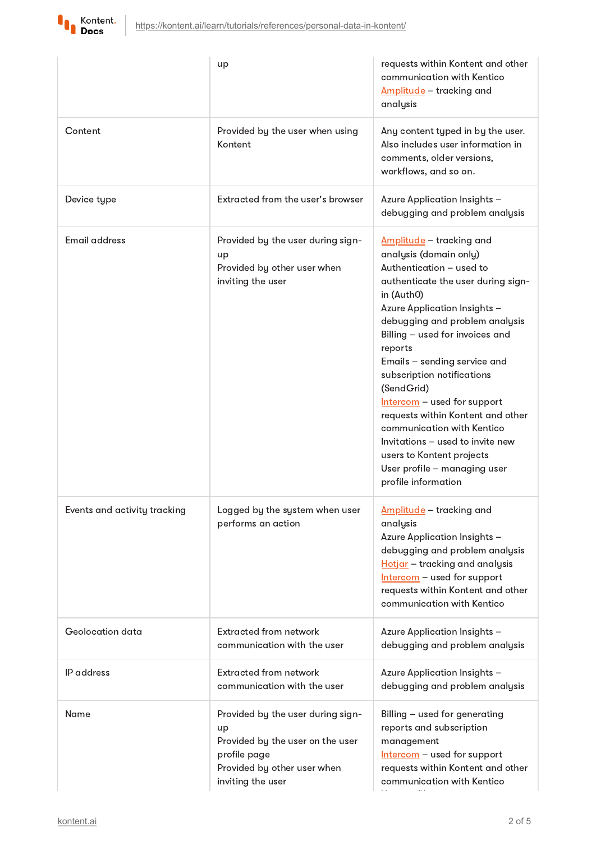

I

|                              | up                                                                                                                                              | requests within Kontent and other<br>communication with Kentico<br>Amplitude - tracking and<br>analysis                                                                                                                                                                                                                                                                                                                                                                                                                                                  |
|------------------------------|-------------------------------------------------------------------------------------------------------------------------------------------------|----------------------------------------------------------------------------------------------------------------------------------------------------------------------------------------------------------------------------------------------------------------------------------------------------------------------------------------------------------------------------------------------------------------------------------------------------------------------------------------------------------------------------------------------------------|
| Content                      | Provided by the user when using<br>Kontent                                                                                                      | Any content typed in by the user.<br>Also includes user information in<br>comments, older versions,<br>workflows, and so on.                                                                                                                                                                                                                                                                                                                                                                                                                             |
| Device type                  | Extracted from the user's browser                                                                                                               | Azure Application Insights -<br>debugging and problem analysis                                                                                                                                                                                                                                                                                                                                                                                                                                                                                           |
| <b>Email address</b>         | Provided by the user during sign-<br>up<br>Provided by other user when<br>inviting the user                                                     | Amplitude - tracking and<br>analysis (domain only)<br>Authentication - used to<br>authenticate the user during sign-<br>in (Auth0)<br>Azure Application Insights -<br>debugging and problem analysis<br>Billing - used for invoices and<br>reports<br>Emails - sending service and<br>subscription notifications<br>(SendGrid)<br>Intercom - used for support<br>requests within Kontent and other<br>communication with Kentico<br>Invitations - used to invite new<br>users to Kontent projects<br>User profile - managing user<br>profile information |
| Events and activity tracking | Logged by the system when user<br>performs an action                                                                                            | Amplitude - tracking and<br>analysis<br>Azure Application Insights -<br>debugging and problem analysis<br>Hotjar - tracking and analysis<br>Intercom - used for support<br>requests within Kontent and other<br>communication with Kentico                                                                                                                                                                                                                                                                                                               |
| Geolocation data             | <b>Extracted from network</b><br>communication with the user                                                                                    | Azure Application Insights -<br>debugging and problem analysis                                                                                                                                                                                                                                                                                                                                                                                                                                                                                           |
| IP address                   | <b>Extracted from network</b><br>communication with the user                                                                                    | Azure Application Insights -<br>debugging and problem analysis                                                                                                                                                                                                                                                                                                                                                                                                                                                                                           |
| Name                         | Provided by the user during sign-<br>up<br>Provided by the user on the user<br>profile page<br>Provided by other user when<br>inviting the user | Billing - used for generating<br>reports and subscription<br>management<br>$Intercom – used for support$<br>requests within Kontent and other<br>communication with Kentico                                                                                                                                                                                                                                                                                                                                                                              |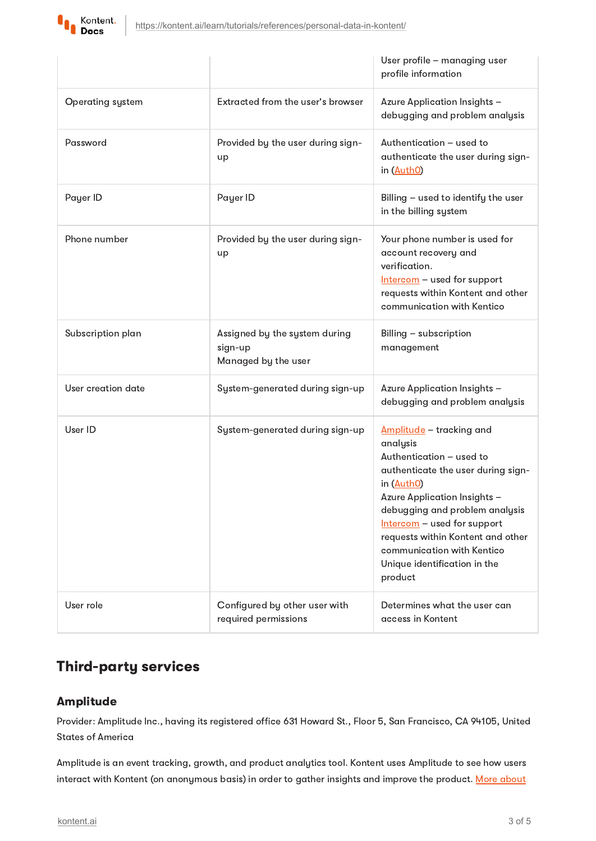

|                         |                                                                 | User profile - managing user<br>profile information                                                                                                                                                                                                                                                                                        |
|-------------------------|-----------------------------------------------------------------|--------------------------------------------------------------------------------------------------------------------------------------------------------------------------------------------------------------------------------------------------------------------------------------------------------------------------------------------|
| <b>Operating system</b> | Extracted from the user's browser                               | Azure Application Insights -<br>debugging and problem analysis                                                                                                                                                                                                                                                                             |
| Password                | Provided by the user during sign-<br>up                         | Authentication - used to<br>authenticate the user during sign-<br>in (AuthO)                                                                                                                                                                                                                                                               |
| Payer ID                | Payer ID                                                        | Billing - used to identify the user<br>in the billing system                                                                                                                                                                                                                                                                               |
| Phone number            | Provided by the user during sign-<br>up                         | Your phone number is used for<br>account recovery and<br>verification.<br>Intercom - used for support<br>requests within Kontent and other<br>communication with Kentico                                                                                                                                                                   |
| Subscription plan       | Assigned by the system during<br>sign-up<br>Managed by the user | Billing - subscription<br>management                                                                                                                                                                                                                                                                                                       |
| User creation date      | System-generated during sign-up                                 | Azure Application Insights -<br>debugging and problem analysis                                                                                                                                                                                                                                                                             |
| User ID                 | System-generated during sign-up                                 | <u>Amplitude</u> – tracking and<br>analysis<br>Authentication - used to<br>authenticate the user during sign-<br>in (AuthO)<br>Azure Application Insights -<br>debugging and problem analysis<br>Intercom - used for support<br>requests within Kontent and other<br>communication with Kentico<br>Unique identification in the<br>product |
| User role               | Configured by other user with<br>required permissions           | Determines what the user can<br>access in Kontent                                                                                                                                                                                                                                                                                          |

# Third-party services

## <span id="page-2-0"></span>Amplitude

Provider: Amplitude Inc., having its registered office 631 Howard St., Floor 5, San Francisco, CA 94105, United States of America

Amplitude is an event tracking, growth, and product analytics tool. Kontent uses Amplitude to see how users interact with Kontent (on [anonymous](https://amplitude.com/) basis) in order to gather insights and improve the product. More about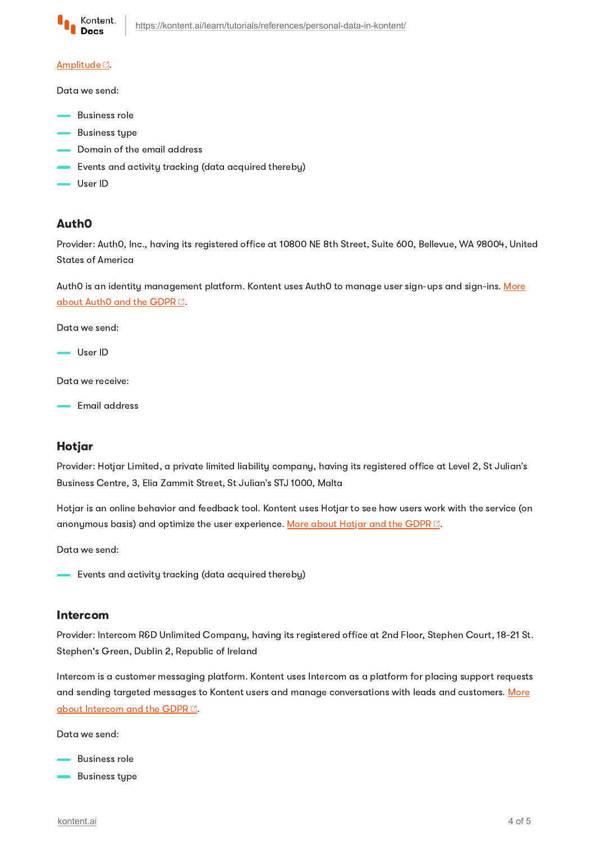

#### [Amplitude](https://amplitude.com/)<sup>C</sup>.

Data we send:

- **Business role**
- **Business type**
- Domain of the email address
- Events and activity tracking (data acquired thereby)
- User ID

## <span id="page-3-2"></span>Auth0

Provider: Auth0, Inc., having its registered office at 10800 NE 8th Street, Suite 600, Bellevue, WA 98004, United States of America

Auth0 is an identity [management](https://auth0.com/gdpr) platform. Kontent uses Auth0 to manage user sign-ups and sign-ins. More about Auth0 and the GDPRE.

Data we send:

- User ID

Data we receive:

**Email address** 

## <span id="page-3-1"></span>Hotjar

Provider: Hotjar Limited, a private limited liability company, having its registered office at Level 2, St Julian's Business Centre, 3, Elia Zammit Street, St Julian's STJ 1000, Malta

Hotjar is an online behavior and feedback tool. Kontent uses Hotjar to see how users work with the service (on anonymous basis) and optimize the user experience. More about [Hotjar](https://www.hotjar.com/legal/compliance/gdpr-commitment/) and the GDPR<sup>[2]</sup>.

Data we send:

- Events and activity tracking (data acquired thereby)

### <span id="page-3-0"></span>Intercom

Provider: Intercom R&D Unlimited Company, having its registered office at 2nd Floor, Stephen Court, 18-21 St. Stephen's Green, Dublin 2, Republic of Ireland

Intercom is a customer messaging platform. Kontent uses Intercom as a platform for placing support requests and sending targeted messages to Kontent users and manage [conversations](https://docs.intercom.com/pricing-privacy-and-terms/how-were-preparing-for-gdpr) with leads and customers. More about Intercom and the GDPR<sup>C</sup>.

Data we send:

- **Business role**
- Business type